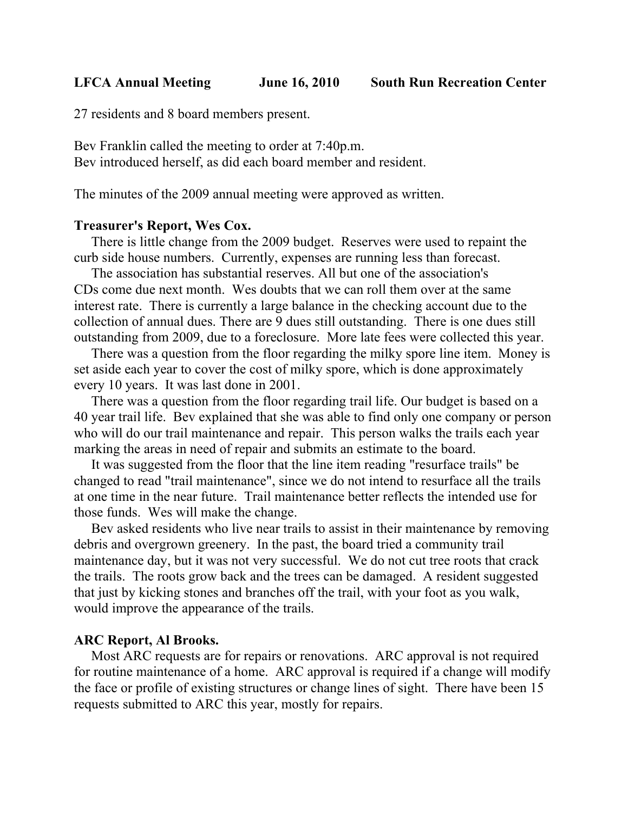**LFCA Annual Meeting June 16, 2010 South Run Recreation Center**

27 residents and 8 board members present.

Bev Franklin called the meeting to order at 7:40p.m. Bev introduced herself, as did each board member and resident.

The minutes of the 2009 annual meeting were approved as written.

# **Treasurer's Report, Wes Cox.**

 There is little change from the 2009 budget. Reserves were used to repaint the curb side house numbers. Currently, expenses are running less than forecast.

 The association has substantial reserves. All but one of the association's CDs come due next month. Wes doubts that we can roll them over at the same interest rate. There is currently a large balance in the checking account due to the collection of annual dues. There are 9 dues still outstanding. There is one dues still outstanding from 2009, due to a foreclosure. More late fees were collected this year.

 There was a question from the floor regarding the milky spore line item. Money is set aside each year to cover the cost of milky spore, which is done approximately every 10 years. It was last done in 2001.

 There was a question from the floor regarding trail life. Our budget is based on a 40 year trail life. Bev explained that she was able to find only one company or person who will do our trail maintenance and repair. This person walks the trails each year marking the areas in need of repair and submits an estimate to the board.

 It was suggested from the floor that the line item reading "resurface trails" be changed to read "trail maintenance", since we do not intend to resurface all the trails at one time in the near future. Trail maintenance better reflects the intended use for those funds. Wes will make the change.

 Bev asked residents who live near trails to assist in their maintenance by removing debris and overgrown greenery. In the past, the board tried a community trail maintenance day, but it was not very successful. We do not cut tree roots that crack the trails. The roots grow back and the trees can be damaged. A resident suggested that just by kicking stones and branches off the trail, with your foot as you walk, would improve the appearance of the trails.

#### **ARC Report, Al Brooks.**

 Most ARC requests are for repairs or renovations. ARC approval is not required for routine maintenance of a home. ARC approval is required if a change will modify the face or profile of existing structures or change lines of sight. There have been 15 requests submitted to ARC this year, mostly for repairs.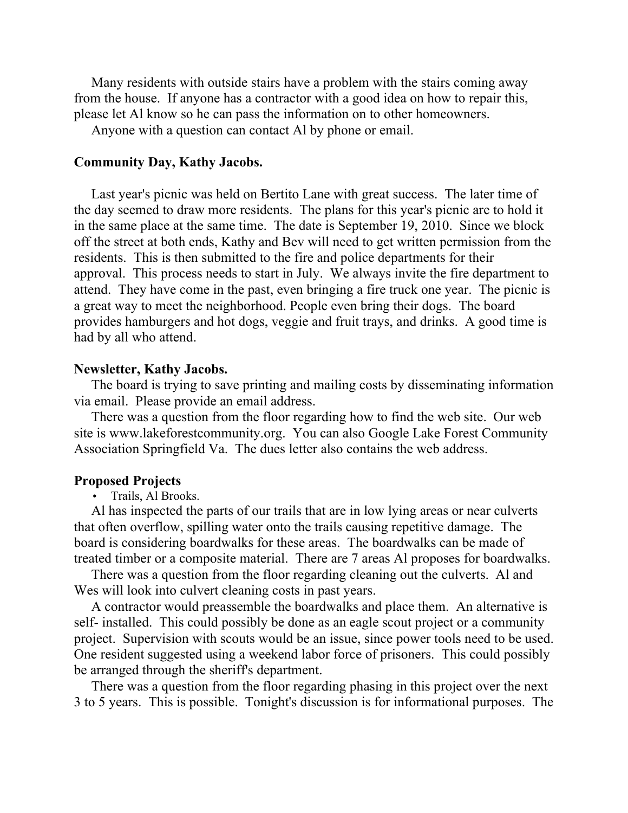Many residents with outside stairs have a problem with the stairs coming away from the house. If anyone has a contractor with a good idea on how to repair this, please let Al know so he can pass the information on to other homeowners.

Anyone with a question can contact Al by phone or email.

## **Community Day, Kathy Jacobs.**

 Last year's picnic was held on Bertito Lane with great success. The later time of the day seemed to draw more residents. The plans for this year's picnic are to hold it in the same place at the same time. The date is September 19, 2010. Since we block off the street at both ends, Kathy and Bev will need to get written permission from the residents. This is then submitted to the fire and police departments for their approval. This process needs to start in July. We always invite the fire department to attend. They have come in the past, even bringing a fire truck one year. The picnic is a great way to meet the neighborhood. People even bring their dogs. The board provides hamburgers and hot dogs, veggie and fruit trays, and drinks. A good time is had by all who attend.

## **Newsletter, Kathy Jacobs.**

 The board is trying to save printing and mailing costs by disseminating information via email. Please provide an email address.

 There was a question from the floor regarding how to find the web site. Our web site is www.lakeforestcommunity.org. You can also Google Lake Forest Community Association Springfield Va. The dues letter also contains the web address.

## **Proposed Projects**

• Trails, Al Brooks.

 Al has inspected the parts of our trails that are in low lying areas or near culverts that often overflow, spilling water onto the trails causing repetitive damage. The board is considering boardwalks for these areas. The boardwalks can be made of treated timber or a composite material. There are 7 areas Al proposes for boardwalks.

 There was a question from the floor regarding cleaning out the culverts. Al and Wes will look into culvert cleaning costs in past years.

 A contractor would preassemble the boardwalks and place them. An alternative is self- installed. This could possibly be done as an eagle scout project or a community project. Supervision with scouts would be an issue, since power tools need to be used. One resident suggested using a weekend labor force of prisoners. This could possibly be arranged through the sheriff's department.

 There was a question from the floor regarding phasing in this project over the next 3 to 5 years. This is possible. Tonight's discussion is for informational purposes. The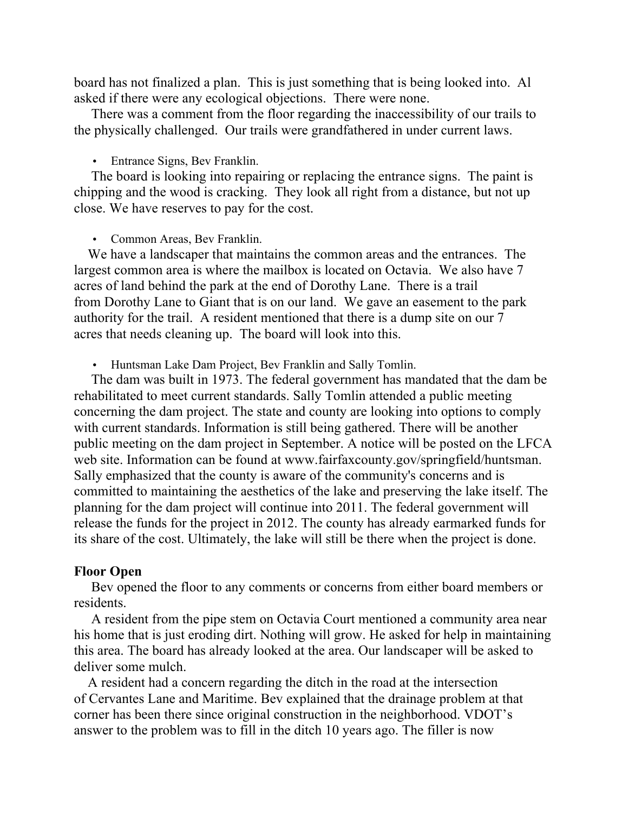board has not finalized a plan. This is just something that is being looked into. Al asked if there were any ecological objections. There were none.

 There was a comment from the floor regarding the inaccessibility of our trails to the physically challenged. Our trails were grandfathered in under current laws.

• Entrance Signs, Bev Franklin.

 The board is looking into repairing or replacing the entrance signs. The paint is chipping and the wood is cracking. They look all right from a distance, but not up close. We have reserves to pay for the cost.

• Common Areas, Bev Franklin.

 We have a landscaper that maintains the common areas and the entrances. The largest common area is where the mailbox is located on Octavia. We also have 7 acres of land behind the park at the end of Dorothy Lane. There is a trail from Dorothy Lane to Giant that is on our land. We gave an easement to the park authority for the trail. A resident mentioned that there is a dump site on our 7 acres that needs cleaning up. The board will look into this.

• Huntsman Lake Dam Project, Bev Franklin and Sally Tomlin.

 The dam was built in 1973. The federal government has mandated that the dam be rehabilitated to meet current standards. Sally Tomlin attended a public meeting concerning the dam project. The state and county are looking into options to comply with current standards. Information is still being gathered. There will be another public meeting on the dam project in September. A notice will be posted on the LFCA web site. Information can be found at www.fairfaxcounty.gov/springfield/huntsman. Sally emphasized that the county is aware of the community's concerns and is committed to maintaining the aesthetics of the lake and preserving the lake itself. The planning for the dam project will continue into 2011. The federal government will release the funds for the project in 2012. The county has already earmarked funds for its share of the cost. Ultimately, the lake will still be there when the project is done.

## **Floor Open**

 Bev opened the floor to any comments or concerns from either board members or residents.

 A resident from the pipe stem on Octavia Court mentioned a community area near his home that is just eroding dirt. Nothing will grow. He asked for help in maintaining this area. The board has already looked at the area. Our landscaper will be asked to deliver some mulch.

 A resident had a concern regarding the ditch in the road at the intersection of Cervantes Lane and Maritime. Bev explained that the drainage problem at that corner has been there since original construction in the neighborhood. VDOT's answer to the problem was to fill in the ditch 10 years ago. The filler is now